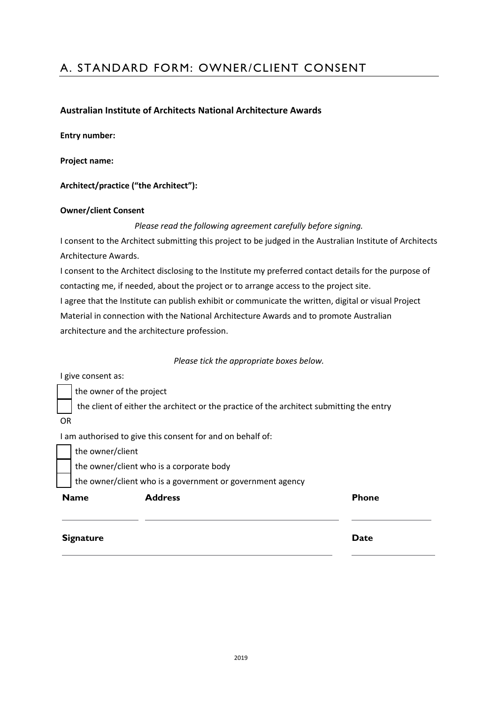# A. STANDARD FORM: OWNER/CLIENT CONSENT

### **Australian Institute of Architects National Architecture Awards**

**Entry number:**

**Project name:**

**Architect/practice ("the Architect"):**

#### **Owner/client Consent**

*Please read the following agreement carefully before signing.*

I consent to the Architect submitting this project to be judged in the Australian Institute of Architects Architecture Awards.

I consent to the Architect disclosing to the Institute my preferred contact details for the purpose of contacting me, if needed, about the project or to arrange access to the project site.

I agree that the Institute can publish exhibit or communicate the written, digital or visual Project Material in connection with the National Architecture Awards and to promote Australian architecture and the architecture profession.

#### *Please tick the appropriate boxes below.*

I give consent as:

the owner of the project

the client of either the architect or the practice of the architect submitting the entry

OR

I am authorised to give this consent for and on behalf of:

the owner/client

the owner/client who is a corporate body

the owner/client who is a government or government agency

| <b>Name</b>      | <b>Address</b> | <b>Phone</b> |
|------------------|----------------|--------------|
| <b>Signature</b> |                | <b>Date</b>  |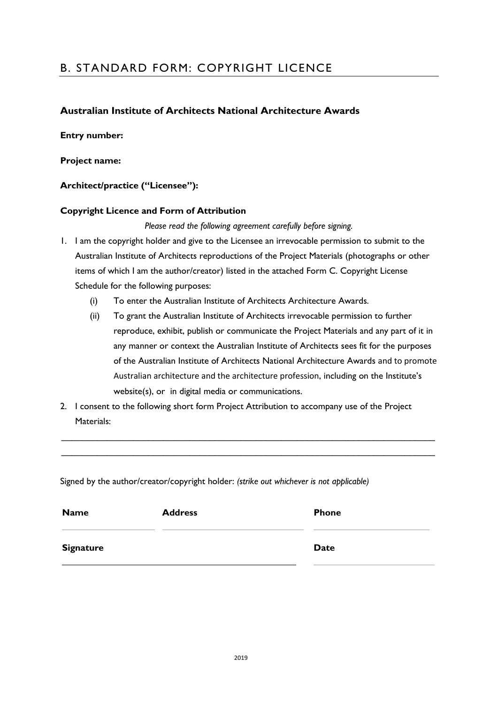# B. STANDARD FORM: COPYRIGHT LICENCE

## **Australian Institute of Architects National Architecture Awards**

#### **Entry number:**

#### **Project name:**

### **Architect/practice ("Licensee"):**

#### **Copyright Licence and Form of Attribution**

*Please read the following agreement carefully before signing.*

- 1. I am the copyright holder and give to the Licensee an irrevocable permission to submit to the Australian Institute of Architects reproductions of the Project Materials (photographs or other items of which I am the author/creator) listed in the attached Form C. Copyright License Schedule for the following purposes:
	- (i) To enter the Australian Institute of Architects Architecture Awards.
	- (ii) To grant the Australian Institute of Architects irrevocable permission to further reproduce, exhibit, publish or communicate the Project Materials and any part of it in any manner or context the Australian Institute of Architects sees fit for the purposes of the Australian Institute of Architects National Architecture Awards and to promote Australian architecture and the architecture profession, including on the Institute's website(s), or in digital media or communications.
- 2. I consent to the following short form Project Attribution to accompany use of the Project Materials:

 $\_$  , and the set of the set of the set of the set of the set of the set of the set of the set of the set of the set of the set of the set of the set of the set of the set of the set of the set of the set of the set of th  $\_$  , and the set of the set of the set of the set of the set of the set of the set of the set of the set of the set of the set of the set of the set of the set of the set of the set of the set of the set of the set of th

Signed by the author/creator/copyright holder: *(strike out whichever is not applicable)*

| <b>Name</b>      | <b>Address</b> | <b>Phone</b> |
|------------------|----------------|--------------|
| <b>Signature</b> |                | <b>Date</b>  |